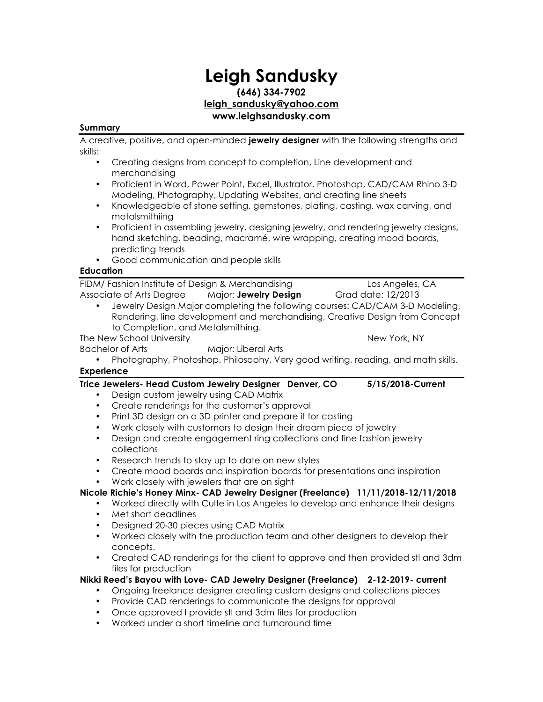# **Leigh Sandusky (646) 334-7902 leigh\_sandusky@yahoo.com www.leighsandusky.com**

### **Summary**

A creative, positive, and open-minded **jewelry designer** with the following strengths and skills:

- Creating designs from concept to completion, Line development and merchandising
- Proficient in Word, Power Point, Excel, Illustrator, Photoshop, CAD/CAM Rhino 3-D Modeling, Photography, Updating Websites, and creating line sheets
- Knowledgeable of stone setting, gemstones, plating, casting, wax carving, and metalsmithiing
- Proficient in assembling jewelry, designing jewelry, and rendering jewelry designs, hand sketching, beading, macramé, wire wrapping, creating mood boards, predicting trends
- Good communication and people skills

### **Education**

FIDM/ Fashion Institute of Design & Merchandising Los Angeles, CA Associate of Arts Degree Major: **Jewelry Design** Grad date: 12/2013 • Jewelry Design Major completing the following courses: CAD/CAM 3-D Modeling,

Rendering, line development and merchandising, Creative Design from Concept to Completion, and Metalsmithing.

The New School University New York, NY

- Bachelor of Arts Major: Liberal Arts
- Photography, Photoshop, Philosophy, Very good writing, reading, and math skills. **Experience**
- **Trice Jewelers- Head Custom Jewelry Designer Denver, CO 5/15/2018-Current**
	- Design custom jewelry using CAD Matrix
	- Create renderings for the customer's approval
	- Print 3D design on a 3D printer and prepare it for casting
	- Work closely with customers to design their dream piece of jewelry
	- Design and create engagement ring collections and fine fashion jewelry collections
	- Research trends to stay up to date on new styles
	- Create mood boards and inspiration boards for presentations and inspiration
	- Work closely with jewelers that are on sight

## **Nicole Richie's Honey Minx- CAD Jewelry Designer (Freelance) 11/11/2018-12/11/2018**

- Worked directly with Culte in Los Angeles to develop and enhance their designs
- Met short deadlines
- Designed 20-30 pieces using CAD Matrix
- Worked closely with the production team and other designers to develop their concepts.
- Created CAD renderings for the client to approve and then provided stl and 3dm files for production

### **Nikki Reed's Bayou with Love- CAD Jewelry Designer (Freelance) 2-12-2019- current**

- Ongoing freelance designer creating custom designs and collections pieces
- Provide CAD renderings to communicate the designs for approval
- Once approved I provide stl and 3dm files for production
- Worked under a short timeline and turnaround time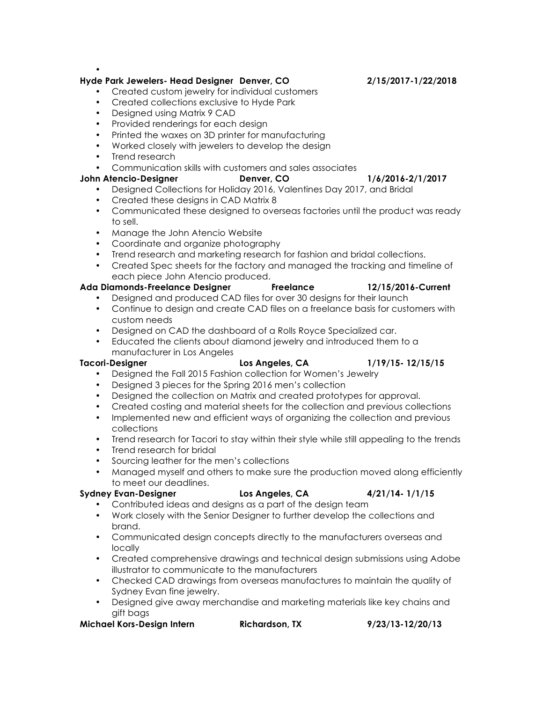•

### **Hyde Park Jewelers- Head Designer Denver, CO 2/15/2017-1/22/2018**

- Created custom jewelry for individual customers
- Created collections exclusive to Hyde Park
- Designed using Matrix 9 CAD
- Provided renderings for each design
- Printed the waxes on 3D printer for manufacturing
- Worked closely with jewelers to develop the design
- Trend research
- Communication skills with customers and sales associates

### **John Atencio-Designer Denver, CO 1/6/2016-2/1/2017**

- Designed Collections for Holiday 2016, Valentines Day 2017, and Bridal
- Created these designs in CAD Matrix 8
- Communicated these designed to overseas factories until the product was ready to sell.
- Manage the John Atencio Website
- Coordinate and organize photography
- Trend research and marketing research for fashion and bridal collections.
- Created Spec sheets for the factory and managed the tracking and timeline of each piece John Atencio produced.

### **Ada Diamonds-Freelance Designer Freelance 12/15/2016-Current**

- Designed and produced CAD files for over 30 designs for their launch
- Continue to design and create CAD files on a freelance basis for customers with custom needs
- Designed on CAD the dashboard of a Rolls Royce Specialized car.
- Educated the clients about diamond jewelry and introduced them to a manufacturer in Los Angeles

**Tacori-Designer Los Angeles, CA 1/19/15- 12/15/15**

- Designed the Fall 2015 Fashion collection for Women's Jewelry
- Designed 3 pieces for the Spring 2016 men's collection
- Designed the collection on Matrix and created prototypes for approval.
- Created costing and material sheets for the collection and previous collections
- Implemented new and efficient ways of organizing the collection and previous collections
- Trend research for Tacori to stay within their style while still appealing to the trends
- Trend research for bridal
- Sourcing leather for the men's collections
- Managed myself and others to make sure the production moved along efficiently to meet our deadlines.

### **Sydney Evan-Designer Los Angeles, CA 4/21/14- 1/1/15**

• Contributed ideas and designs as a part of the design team

- Work closely with the Senior Designer to further develop the collections and brand.
- Communicated design concepts directly to the manufacturers overseas and locally
- Created comprehensive drawings and technical design submissions using Adobe illustrator to communicate to the manufacturers
- Checked CAD drawings from overseas manufactures to maintain the quality of Sydney Evan fine jewelry.
- Designed give away merchandise and marketing materials like key chains and gift bags

### **Michael Kors-Design Intern Richardson, TX 9/23/13-12/20/13**